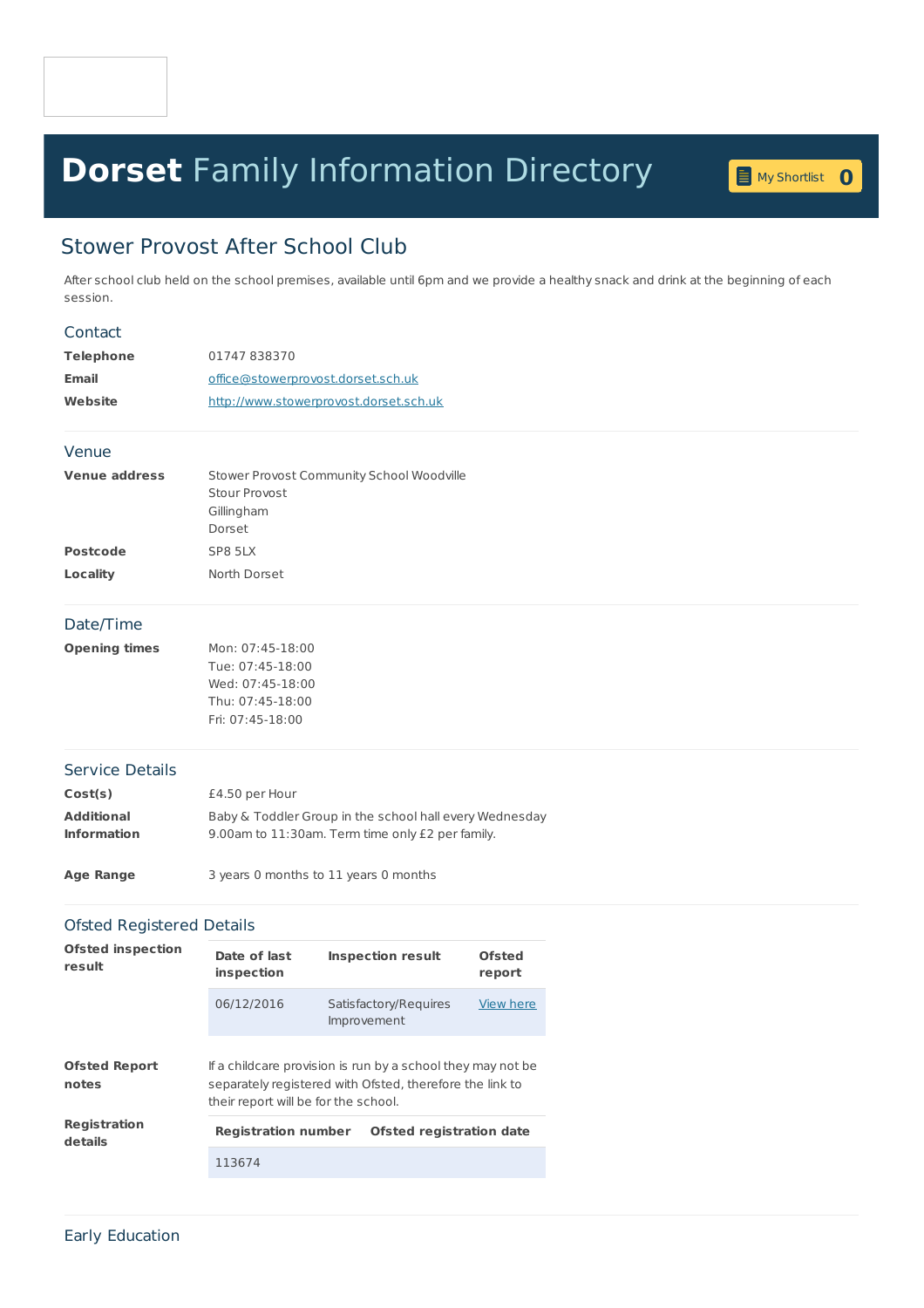# **Dorset** Family [Information](home.page) Directory **<sup>0</sup>**



# Stower Provost After School Club

After school club held on the school premises, available until 6pm and we provide a healthy snack and drink at the beginning of each session.

#### Contact

| Telephone | 01747838370                            |  |  |
|-----------|----------------------------------------|--|--|
| Email     | office@stowerprovost.dorset.sch.uk     |  |  |
| Website   | http://www.stowerprovost.dorset.sch.uk |  |  |

#### Venue

| <b>Venue address</b> | Stower Provost Community School Woodville |
|----------------------|-------------------------------------------|
|                      | Stour Provost                             |
|                      | Gillingham                                |
|                      | Dorset                                    |
| <b>Postcode</b>      | SP8 5LX                                   |
| Locality             | North Dorset                              |

## Date/Time

| <b>Opening times</b> | Mon: 07:45-18:00 |
|----------------------|------------------|
|                      | Tue: 07:45-18:00 |
|                      | Wed: 07:45-18:00 |
|                      | Thu: 07:45-18:00 |
|                      | Fri: 07:45-18:00 |
|                      |                  |

#### Service Details

| Cost(s)            | £4.50 per Hour                                          |
|--------------------|---------------------------------------------------------|
| Additional         | Baby & Toddler Group in the school hall every Wednesday |
| <b>Information</b> | 9.00am to 11:30am. Term time only £2 per family.        |

**Age Range** 3 years 0 months to 11 years 0 months

### Ofsted Registered Details

| <b>Ofsted inspection</b><br>result | Date of last<br>inspection                                                                                                                                      | <b>Inspection result</b>             | Ofsted<br>report |  |
|------------------------------------|-----------------------------------------------------------------------------------------------------------------------------------------------------------------|--------------------------------------|------------------|--|
|                                    | 06/12/2016                                                                                                                                                      | Satisfactory/Requires<br>Improvement | View here        |  |
| <b>Ofsted Report</b><br>notes      | If a childcare provision is run by a school they may not be<br>separately registered with Ofsted, therefore the link to<br>their report will be for the school. |                                      |                  |  |
| <b>Registration</b><br>details     | <b>Registration number</b>                                                                                                                                      | <b>Ofsted registration date</b>      |                  |  |
|                                    | 113674                                                                                                                                                          |                                      |                  |  |